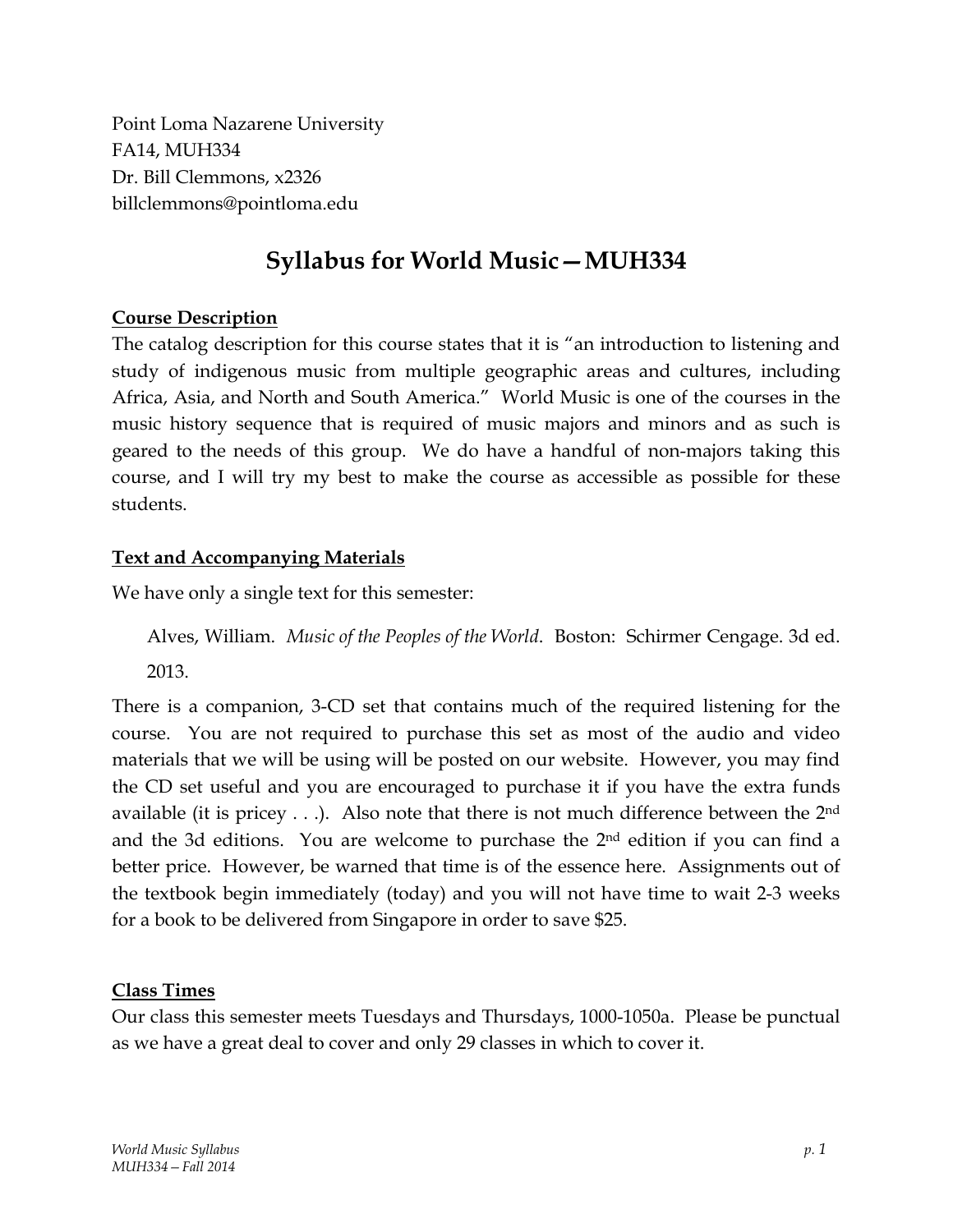Point Loma Nazarene University FA14, MUH334 Dr. Bill Clemmons, x2326 billclemmons@pointloma.edu

## **Syllabus for World Music—MUH334**

## **Course Description**

The catalog description for this course states that it is "an introduction to listening and study of indigenous music from multiple geographic areas and cultures, including Africa, Asia, and North and South America." World Music is one of the courses in the music history sequence that is required of music majors and minors and as such is geared to the needs of this group. We do have a handful of non-majors taking this course, and I will try my best to make the course as accessible as possible for these students.

## **Text and Accompanying Materials**

We have only a single text for this semester:

Alves, William. *Music of the Peoples of the World*. Boston: Schirmer Cengage. 3d ed. 2013.

There is a companion, 3-CD set that contains much of the required listening for the course. You are not required to purchase this set as most of the audio and video materials that we will be using will be posted on our website. However, you may find the CD set useful and you are encouraged to purchase it if you have the extra funds available (it is pricey  $\dots$ ). Also note that there is not much difference between the 2<sup>nd</sup> and the 3d editions. You are welcome to purchase the 2nd edition if you can find a better price. However, be warned that time is of the essence here. Assignments out of the textbook begin immediately (today) and you will not have time to wait 2-3 weeks for a book to be delivered from Singapore in order to save \$25.

## **Class Times**

Our class this semester meets Tuesdays and Thursdays, 1000-1050a. Please be punctual as we have a great deal to cover and only 29 classes in which to cover it.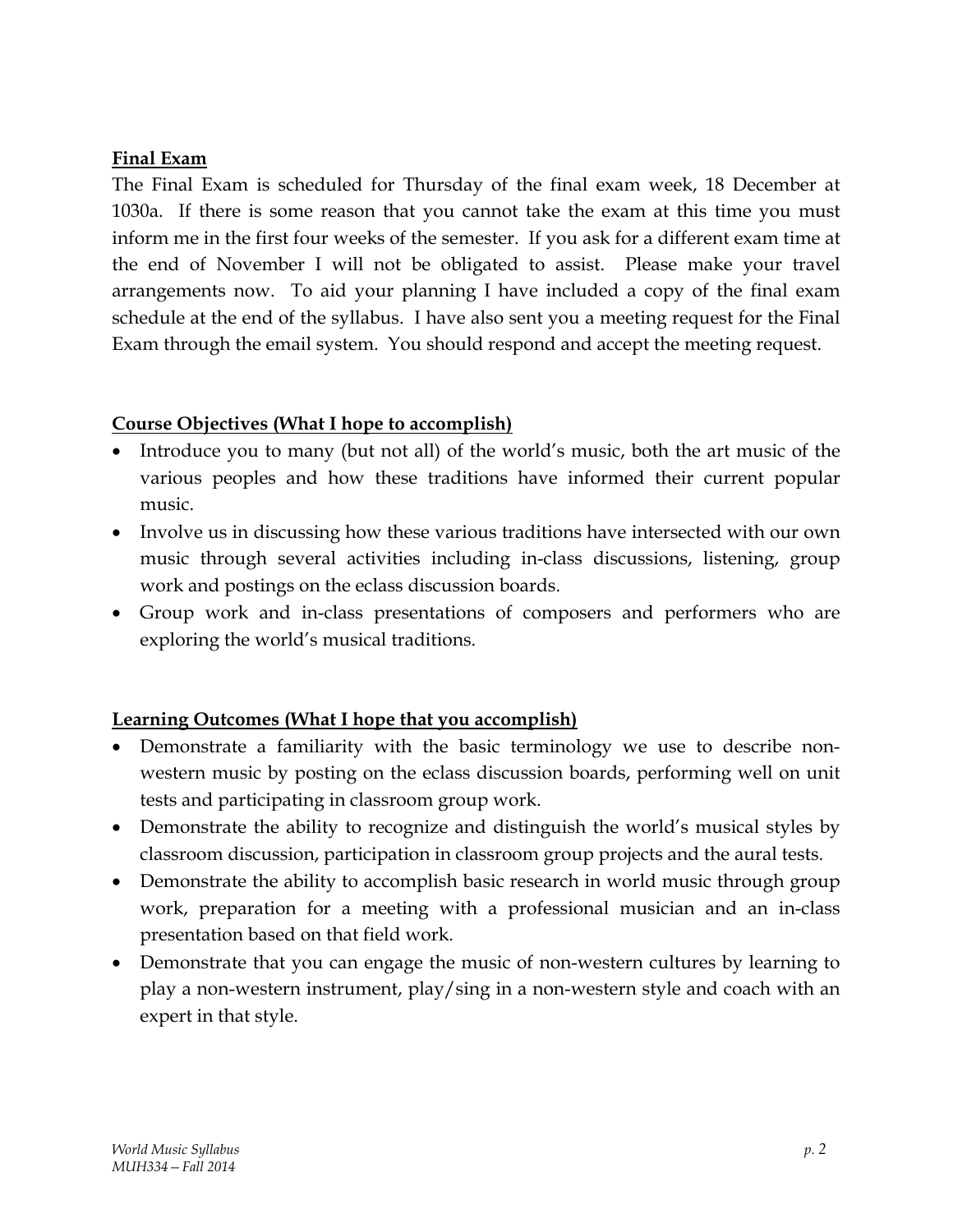## **Final Exam**

The Final Exam is scheduled for Thursday of the final exam week, 18 December at 1030a. If there is some reason that you cannot take the exam at this time you must inform me in the first four weeks of the semester. If you ask for a different exam time at the end of November I will not be obligated to assist. Please make your travel arrangements now. To aid your planning I have included a copy of the final exam schedule at the end of the syllabus. I have also sent you a meeting request for the Final Exam through the email system. You should respond and accept the meeting request.

#### **Course Objectives (What I hope to accomplish)**

- Introduce you to many (but not all) of the world's music, both the art music of the various peoples and how these traditions have informed their current popular music.
- Involve us in discussing how these various traditions have intersected with our own music through several activities including in-class discussions, listening, group work and postings on the eclass discussion boards.
- Group work and in-class presentations of composers and performers who are exploring the world's musical traditions.

## **Learning Outcomes (What I hope that you accomplish)**

- Demonstrate a familiarity with the basic terminology we use to describe nonwestern music by posting on the eclass discussion boards, performing well on unit tests and participating in classroom group work.
- Demonstrate the ability to recognize and distinguish the world's musical styles by classroom discussion, participation in classroom group projects and the aural tests.
- Demonstrate the ability to accomplish basic research in world music through group work, preparation for a meeting with a professional musician and an in-class presentation based on that field work.
- Demonstrate that you can engage the music of non-western cultures by learning to play a non-western instrument, play/sing in a non-western style and coach with an expert in that style.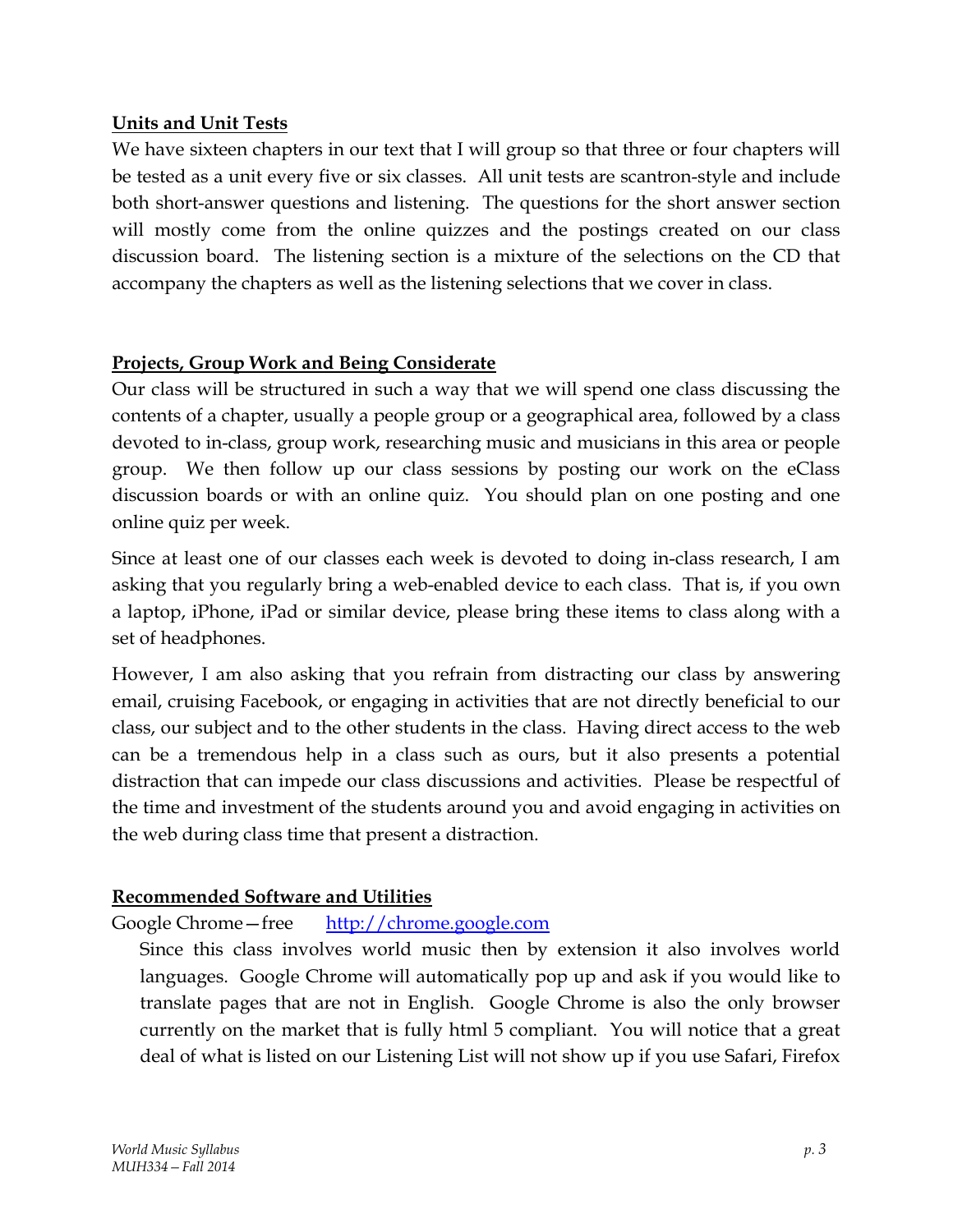## **Units and Unit Tests**

We have sixteen chapters in our text that I will group so that three or four chapters will be tested as a unit every five or six classes. All unit tests are scantron-style and include both short-answer questions and listening. The questions for the short answer section will mostly come from the online quizzes and the postings created on our class discussion board. The listening section is a mixture of the selections on the CD that accompany the chapters as well as the listening selections that we cover in class.

## **Projects, Group Work and Being Considerate**

Our class will be structured in such a way that we will spend one class discussing the contents of a chapter, usually a people group or a geographical area, followed by a class devoted to in-class, group work, researching music and musicians in this area or people group. We then follow up our class sessions by posting our work on the eClass discussion boards or with an online quiz. You should plan on one posting and one online quiz per week.

Since at least one of our classes each week is devoted to doing in-class research, I am asking that you regularly bring a web-enabled device to each class. That is, if you own a laptop, iPhone, iPad or similar device, please bring these items to class along with a set of headphones.

However, I am also asking that you refrain from distracting our class by answering email, cruising Facebook, or engaging in activities that are not directly beneficial to our class, our subject and to the other students in the class. Having direct access to the web can be a tremendous help in a class such as ours, but it also presents a potential distraction that can impede our class discussions and activities. Please be respectful of the time and investment of the students around you and avoid engaging in activities on the web during class time that present a distraction.

## **Recommended Software and Utilities**

## Google Chrome—free http://chrome.google.com

Since this class involves world music then by extension it also involves world languages. Google Chrome will automatically pop up and ask if you would like to translate pages that are not in English. Google Chrome is also the only browser currently on the market that is fully html 5 compliant. You will notice that a great deal of what is listed on our Listening List will not show up if you use Safari, Firefox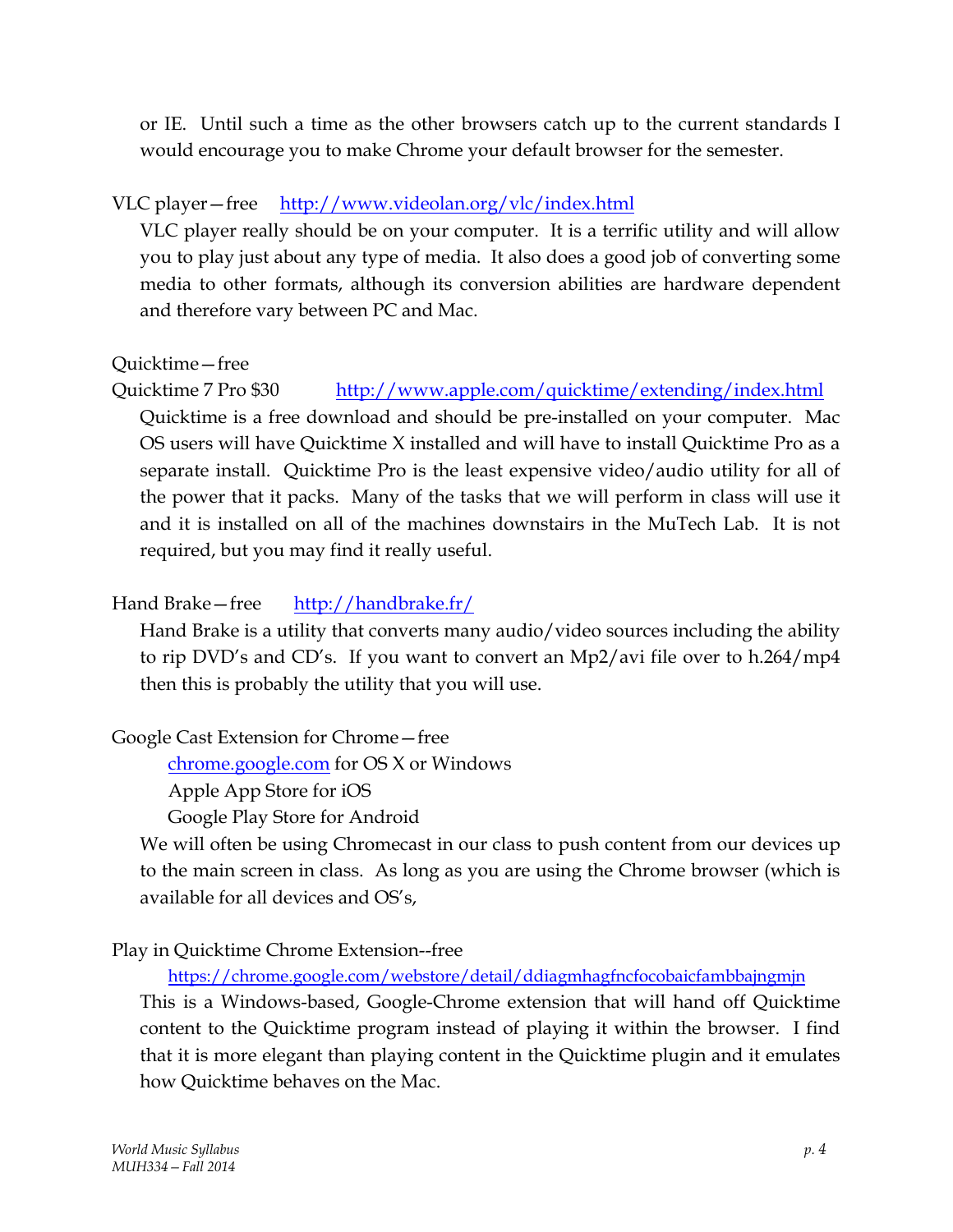or IE. Until such a time as the other browsers catch up to the current standards I would encourage you to make Chrome your default browser for the semester.

## VLC player—free http://www.videolan.org/vlc/index.html

VLC player really should be on your computer. It is a terrific utility and will allow you to play just about any type of media. It also does a good job of converting some media to other formats, although its conversion abilities are hardware dependent and therefore vary between PC and Mac.

## Quicktime—free

Quicktime 7 Pro \$30 http://www.apple.com/quicktime/extending/index.html Quicktime is a free download and should be pre-installed on your computer. Mac OS users will have Quicktime X installed and will have to install Quicktime Pro as a separate install. Quicktime Pro is the least expensive video/audio utility for all of the power that it packs. Many of the tasks that we will perform in class will use it and it is installed on all of the machines downstairs in the MuTech Lab. It is not required, but you may find it really useful.

## Hand Brake—free http://handbrake.fr/

Hand Brake is a utility that converts many audio/video sources including the ability to rip DVD's and CD's. If you want to convert an Mp2/avi file over to h.264/mp4 then this is probably the utility that you will use.

## Google Cast Extension for Chrome—free

chrome.google.com for OS X or Windows

Apple App Store for iOS

Google Play Store for Android

We will often be using Chromecast in our class to push content from our devices up to the main screen in class. As long as you are using the Chrome browser (which is available for all devices and OS's,

## Play in Quicktime Chrome Extension--free

https://chrome.google.com/webstore/detail/ddiagmhagfncfocobaicfambbajngmjn

This is a Windows-based, Google-Chrome extension that will hand off Quicktime content to the Quicktime program instead of playing it within the browser. I find that it is more elegant than playing content in the Quicktime plugin and it emulates how Quicktime behaves on the Mac.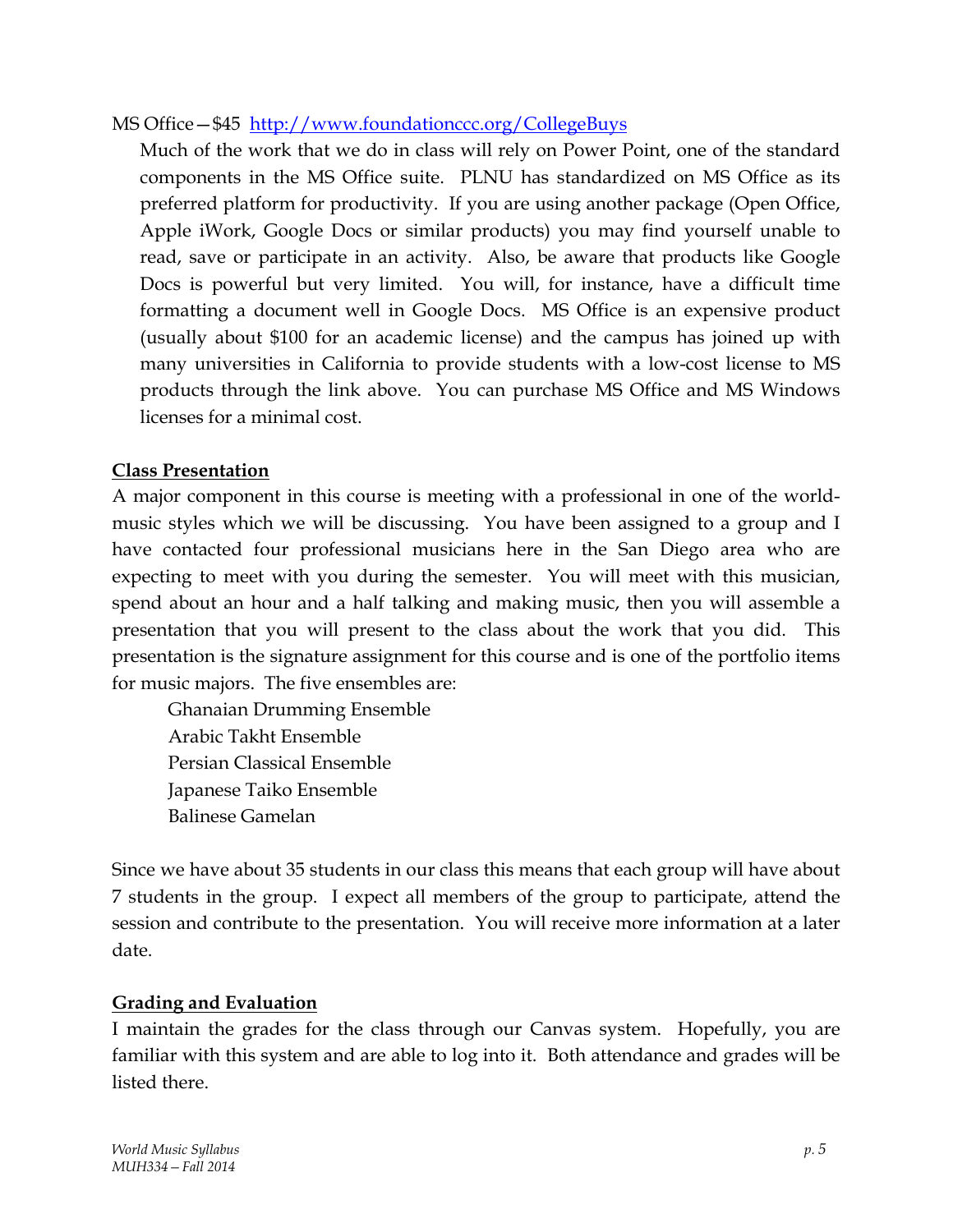#### MS Office—\$45 http://www.foundationccc.org/CollegeBuys

Much of the work that we do in class will rely on Power Point, one of the standard components in the MS Office suite. PLNU has standardized on MS Office as its preferred platform for productivity. If you are using another package (Open Office, Apple iWork, Google Docs or similar products) you may find yourself unable to read, save or participate in an activity. Also, be aware that products like Google Docs is powerful but very limited. You will, for instance, have a difficult time formatting a document well in Google Docs. MS Office is an expensive product (usually about \$100 for an academic license) and the campus has joined up with many universities in California to provide students with a low-cost license to MS products through the link above. You can purchase MS Office and MS Windows licenses for a minimal cost.

#### **Class Presentation**

A major component in this course is meeting with a professional in one of the worldmusic styles which we will be discussing. You have been assigned to a group and I have contacted four professional musicians here in the San Diego area who are expecting to meet with you during the semester. You will meet with this musician, spend about an hour and a half talking and making music, then you will assemble a presentation that you will present to the class about the work that you did. This presentation is the signature assignment for this course and is one of the portfolio items for music majors. The five ensembles are:

 Ghanaian Drumming Ensemble Arabic Takht Ensemble Persian Classical Ensemble Japanese Taiko Ensemble Balinese Gamelan

Since we have about 35 students in our class this means that each group will have about 7 students in the group. I expect all members of the group to participate, attend the session and contribute to the presentation. You will receive more information at a later date.

#### **Grading and Evaluation**

I maintain the grades for the class through our Canvas system. Hopefully, you are familiar with this system and are able to log into it. Both attendance and grades will be listed there.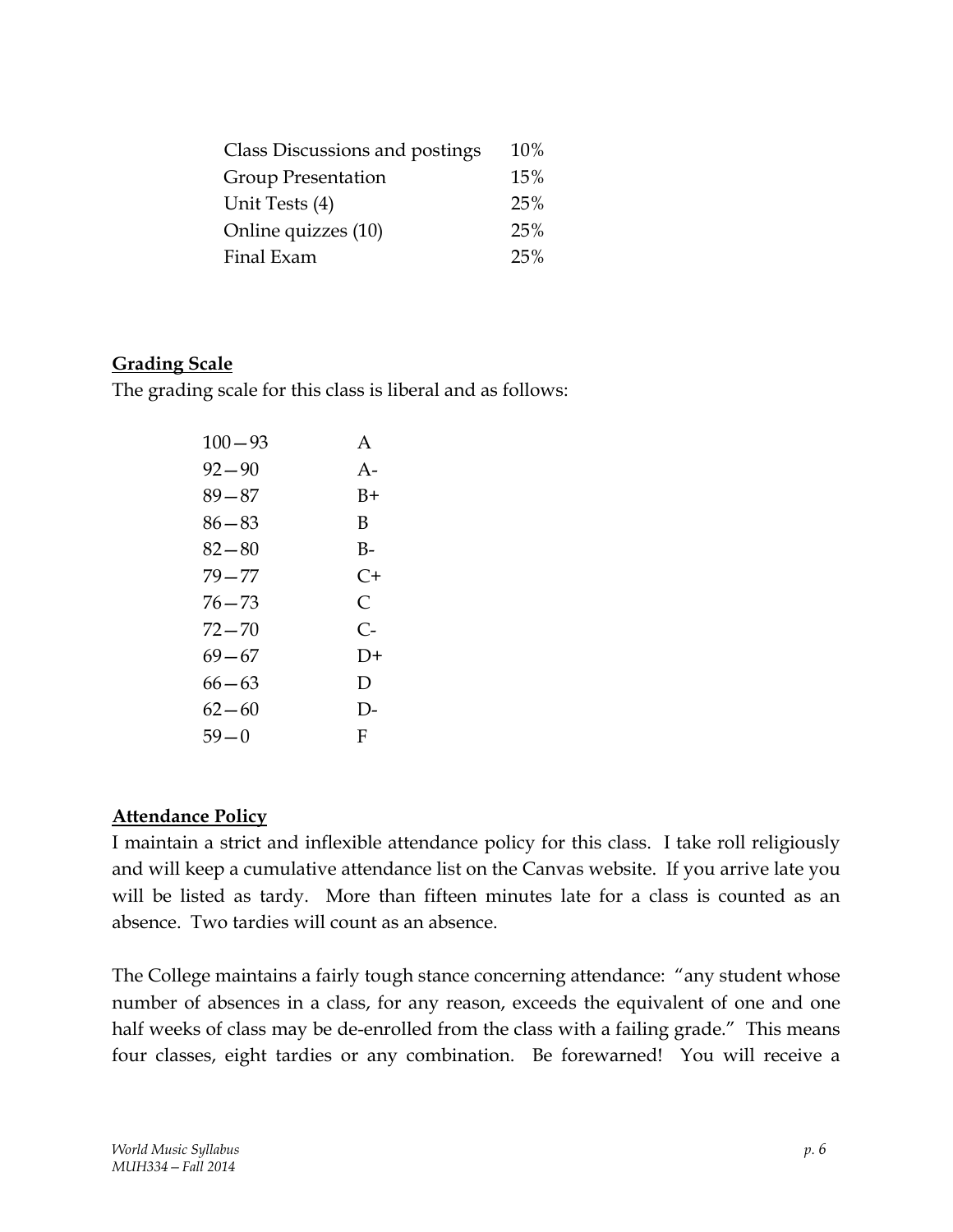| Class Discussions and postings | 10% |
|--------------------------------|-----|
| <b>Group Presentation</b>      | 15% |
| Unit Tests (4)                 | 25% |
| Online quizzes (10)            | 25% |
| Final Exam                     | 25% |

#### **Grading Scale**

The grading scale for this class is liberal and as follows:

| $100 - 93$ | $\mathsf{A}$ |
|------------|--------------|
| $92 - 90$  | $A -$        |
| $89 - 87$  | B+           |
| 86—83      | B            |
| $82 - 80$  | $B-$         |
| $79 - 77$  | C+           |
| 76—73      | C            |
| 72—70      | $C-$         |
| $69 - 67$  | $D+$         |
| 66—63      | D            |
| $62 - 60$  | D-           |
| 59 — 0     | F            |

#### **Attendance Policy**

I maintain a strict and inflexible attendance policy for this class. I take roll religiously and will keep a cumulative attendance list on the Canvas website. If you arrive late you will be listed as tardy. More than fifteen minutes late for a class is counted as an absence. Two tardies will count as an absence.

The College maintains a fairly tough stance concerning attendance: "any student whose number of absences in a class, for any reason, exceeds the equivalent of one and one half weeks of class may be de-enrolled from the class with a failing grade." This means four classes, eight tardies or any combination. Be forewarned! You will receive a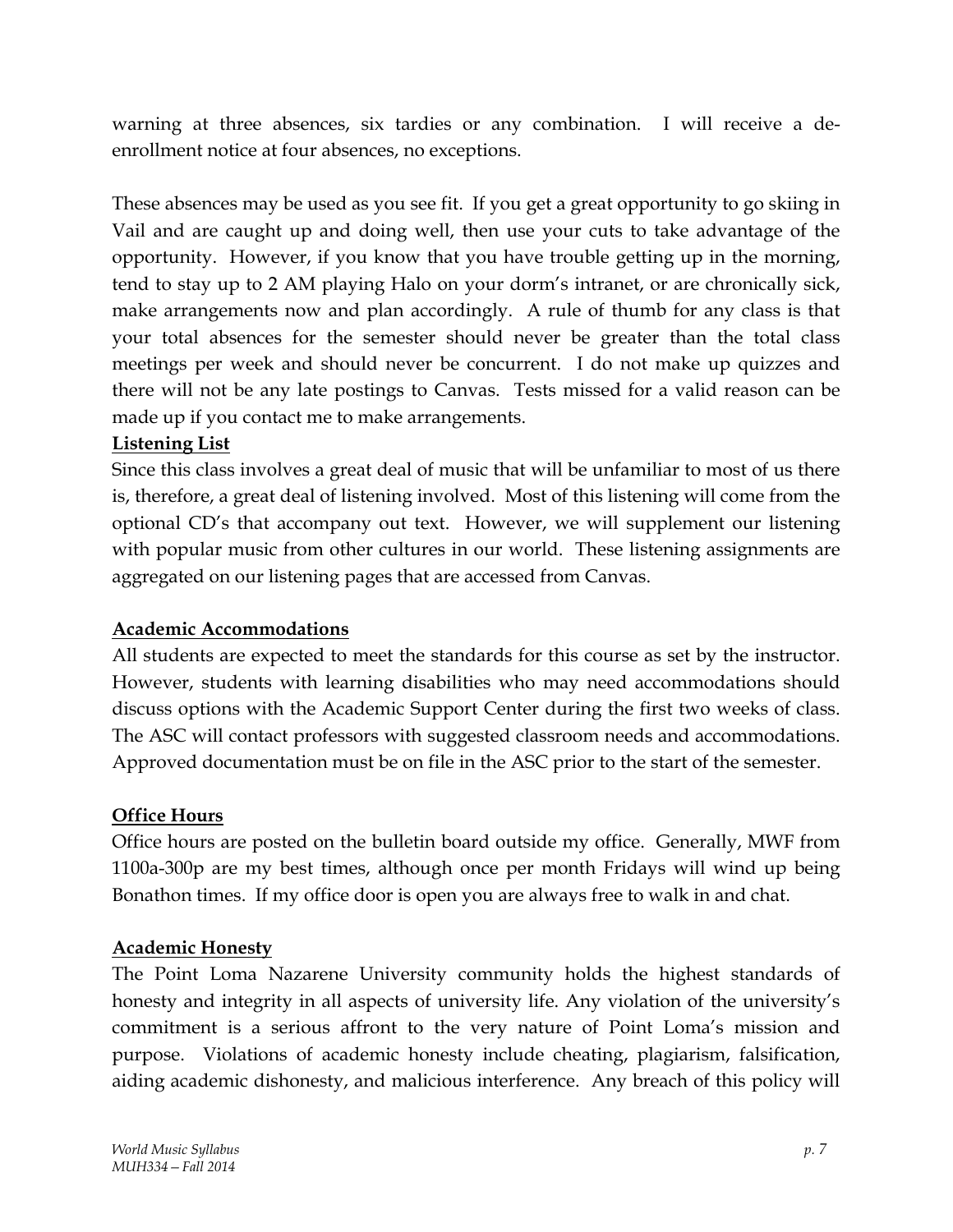warning at three absences, six tardies or any combination. I will receive a deenrollment notice at four absences, no exceptions.

These absences may be used as you see fit. If you get a great opportunity to go skiing in Vail and are caught up and doing well, then use your cuts to take advantage of the opportunity. However, if you know that you have trouble getting up in the morning, tend to stay up to 2 AM playing Halo on your dorm's intranet, or are chronically sick, make arrangements now and plan accordingly. A rule of thumb for any class is that your total absences for the semester should never be greater than the total class meetings per week and should never be concurrent. I do not make up quizzes and there will not be any late postings to Canvas. Tests missed for a valid reason can be made up if you contact me to make arrangements.

## **Listening List**

Since this class involves a great deal of music that will be unfamiliar to most of us there is, therefore, a great deal of listening involved. Most of this listening will come from the optional CD's that accompany out text. However, we will supplement our listening with popular music from other cultures in our world. These listening assignments are aggregated on our listening pages that are accessed from Canvas.

## **Academic Accommodations**

All students are expected to meet the standards for this course as set by the instructor. However, students with learning disabilities who may need accommodations should discuss options with the Academic Support Center during the first two weeks of class. The ASC will contact professors with suggested classroom needs and accommodations. Approved documentation must be on file in the ASC prior to the start of the semester.

## **Office Hours**

Office hours are posted on the bulletin board outside my office. Generally, MWF from 1100a-300p are my best times, although once per month Fridays will wind up being Bonathon times. If my office door is open you are always free to walk in and chat.

## **Academic Honesty**

The Point Loma Nazarene University community holds the highest standards of honesty and integrity in all aspects of university life. Any violation of the university's commitment is a serious affront to the very nature of Point Loma's mission and purpose. Violations of academic honesty include cheating, plagiarism, falsification, aiding academic dishonesty, and malicious interference. Any breach of this policy will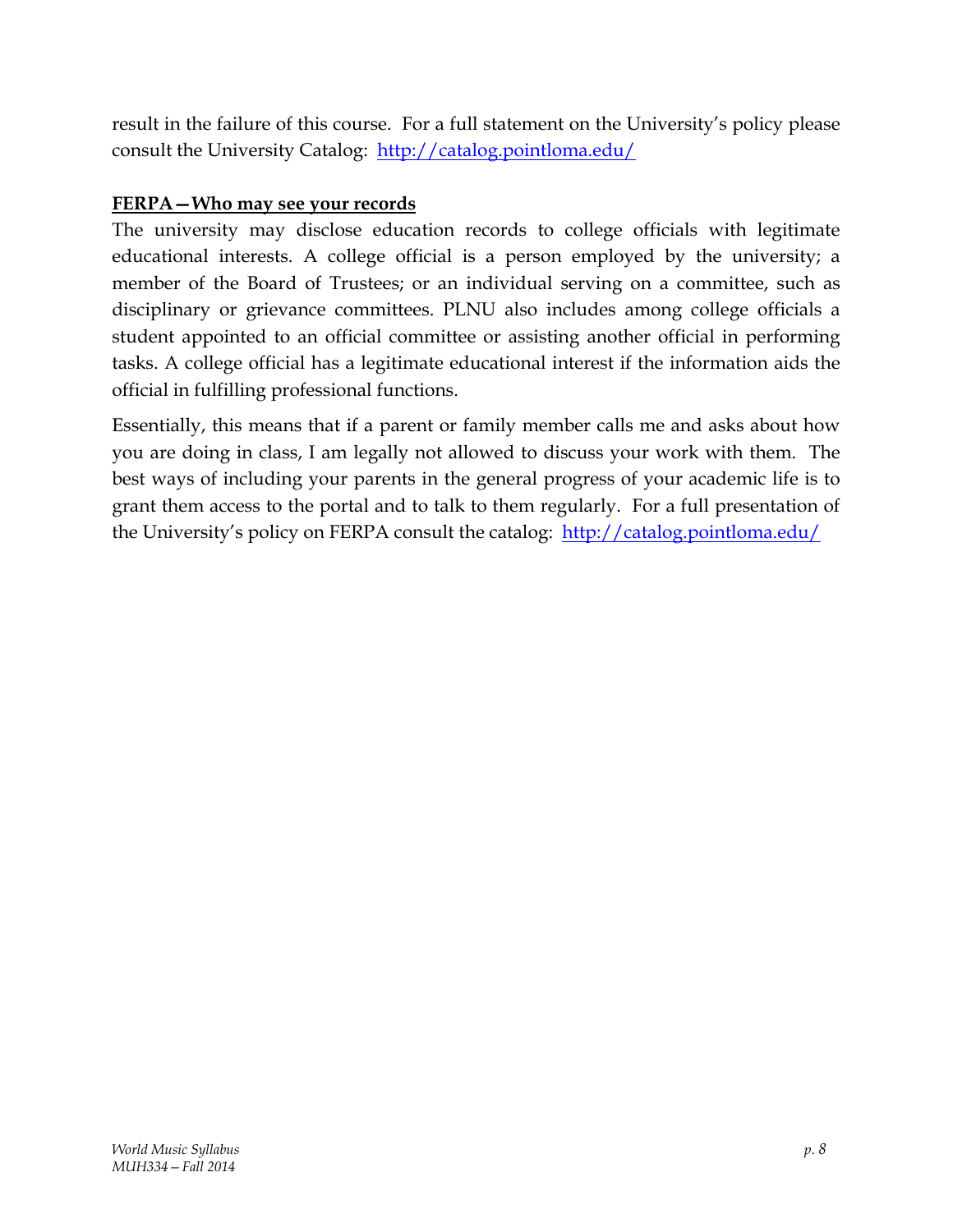result in the failure of this course. For a full statement on the University's policy please consult the University Catalog: http://catalog.pointloma.edu/

## **FERPA—Who may see your records**

The university may disclose education records to college officials with legitimate educational interests. A college official is a person employed by the university; a member of the Board of Trustees; or an individual serving on a committee, such as disciplinary or grievance committees. PLNU also includes among college officials a student appointed to an official committee or assisting another official in performing tasks. A college official has a legitimate educational interest if the information aids the official in fulfilling professional functions.

Essentially, this means that if a parent or family member calls me and asks about how you are doing in class, I am legally not allowed to discuss your work with them. The best ways of including your parents in the general progress of your academic life is to grant them access to the portal and to talk to them regularly. For a full presentation of the University's policy on FERPA consult the catalog: http://catalog.pointloma.edu/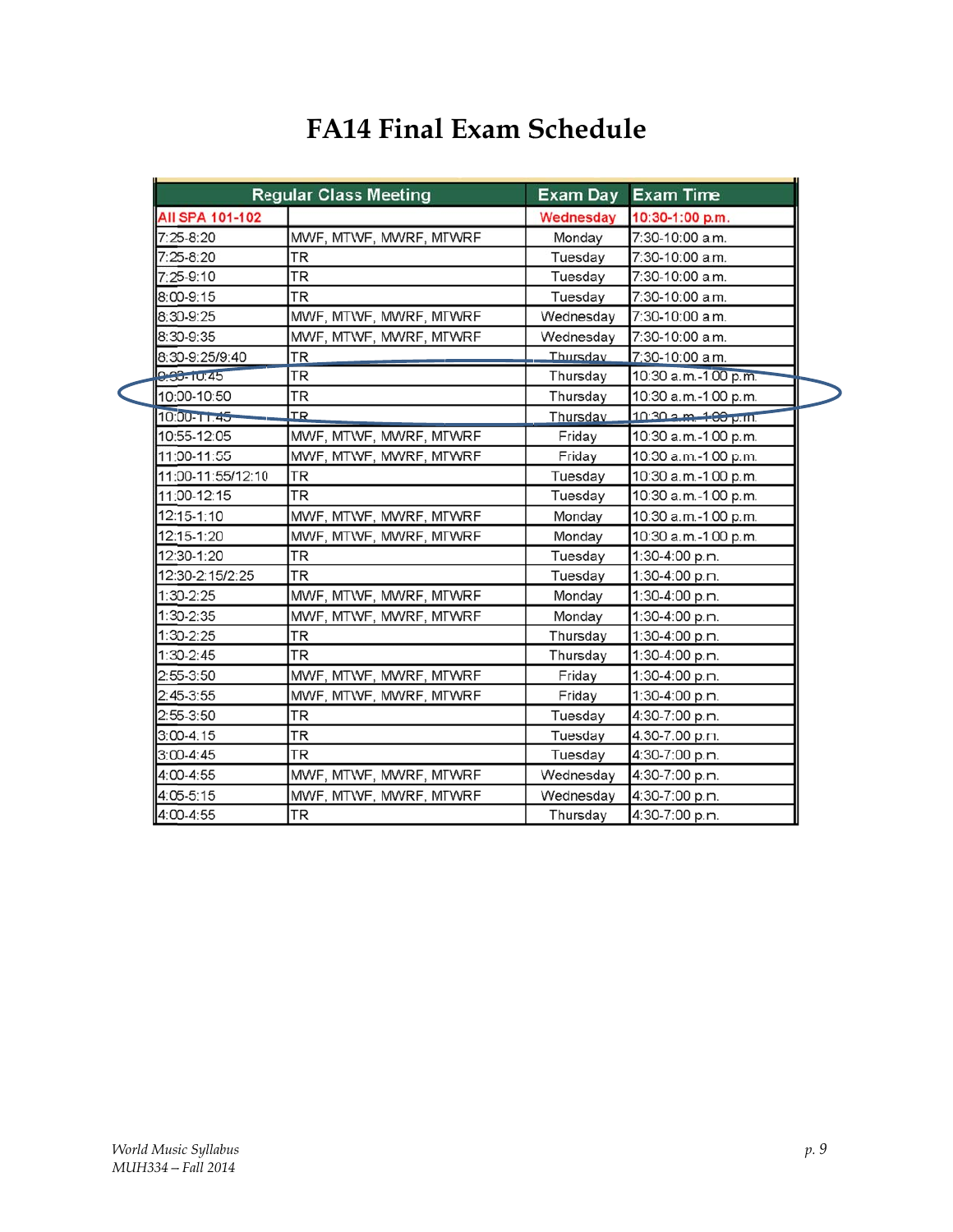## **FA14 Final Exam Schedule**

|                   | <b>Regular Class Meeting</b> | <b>Exam Day</b> | <b>Exam Time</b>     |
|-------------------|------------------------------|-----------------|----------------------|
| AII SPA 101-102   |                              | Wednesday       | 10:30-1:00 p.m.      |
| $7:25-8:20$       | MWF, MTWF, MWRF, MTWRF       | Monday          | 7:30-10:00 a.m.      |
| 7:25-8:20         | TR                           | Tuesdav         | 7:30-10:00 a.m.      |
| 7:25-9:10         | <b>TR</b>                    | Tuesday         | 7:30-10:00 a.m.      |
| 8:00-9:15         | <b>TR</b>                    | Tuesday         | 7:30-10:00 a.m.      |
| 8:30-9:25         | MWF, MTWF, MWRF, MTWRF       | Wednesdav       | 7:30-10:00 a.m.      |
| 8:30-9:35         | MWF, MTWF, MWRF, MTWRF       | Wednesdav       | 7:30-10:00 a.m.      |
| 8:30-9:25/9:40    | TR                           | Thursdav        | 7:30-10:00 a.m.      |
| 0.30-TU:45        | <b>TR</b>                    | Thursday        | 10:30 a.m.-1:00 p.m. |
| 10:00-10:50       | TR                           | Thursday        | 10:30 a.m.-1:00 p.m. |
| $10:00 - 11.45$   | <b>TR</b>                    | Thursday        | 10:30 a.m. 1:00 p.m. |
| 10:55-12:05       | MWF, MTWF, MWRF, MTWRF       | Friday          | 10:30 a.m.-1:00 p.m. |
| 11:00-11:55       | MWF, MTWF, MWRF, MTWRF       | Friday          | 10:30 a.m.-1:00 p.m. |
| 11:00-11:55/12:10 | TR                           | Tuesday         | 10:30 a.m.-1:00 p.m. |
| 11:00-12:15       | TR                           | Tuesday         | 10:30 a.m.-1:00 p.m. |
| 12:15-1:10        | MWF, MTWF, MWRF, MTWRF       | Monday          | 10:30 a.m.-1:00 p.m. |
| 12:15-1:20        | MWF, MTWF, MWRF, MTWRF       | Monday          | 10:30 a.m.-1:00 p.m. |
| 12:30-1:20        | <b>TR</b>                    | Tuesday         | 1:30-4:00 p.m.       |
| 12:30-2:15/2:25   | <b>TR</b>                    | Tuesday         | 1:30-4:00 p.m.       |
| $1:30-2:25$       | MWF, MTWF, MWRF, MTWRF       | Mondav          | $1:30-4:00$ p.m.     |
| 1:30-2:35         | MWF, MTWF, MWRF, MTWRF       | Monday          | 1:30-4:00 p.m.       |
| 1:30-2:25         | <b>TR</b>                    | Thursday        | 1:30-4:00 p.m.       |
| $1:30-2:45$       | <b>TR</b>                    | Thursday        | 1:30-4:00 p.m.       |
| 2:55-3:50         | MWF, MTWF, MWRF, MTWRF       | Friday          | 1:30-4:00 p.m.       |
| $2:45-3:55$       | MWF, MTWF, MWRF, MTWRF       | Friday          | 1:30-4:00 p.m.       |
| $2:55-3:50$       | <b>TR</b>                    | Tuesday         | 4:30-7:00 p.m.       |
| $3:00 - 4:15$     | <b>TR</b>                    | Tuesday         | 4:30-7:00 p.m.       |
| $3:00 - 4:45$     | <b>TR</b>                    | Tuesday         | 4:30-7:00 p.m.       |
| 4:00-4:55         | MWF, MTWF, MWRF, MTWRF       | Wednesday       | 4:30-7:00 p.m.       |
| 4:05-5:15         | MWF, MTWF, MWRF, MTWRF       | Wednesdav       | 4:30-7:00 p.m.       |
| 4:00-4:55         | TR                           | Thursday        | 4:30-7:00 p.m.       |